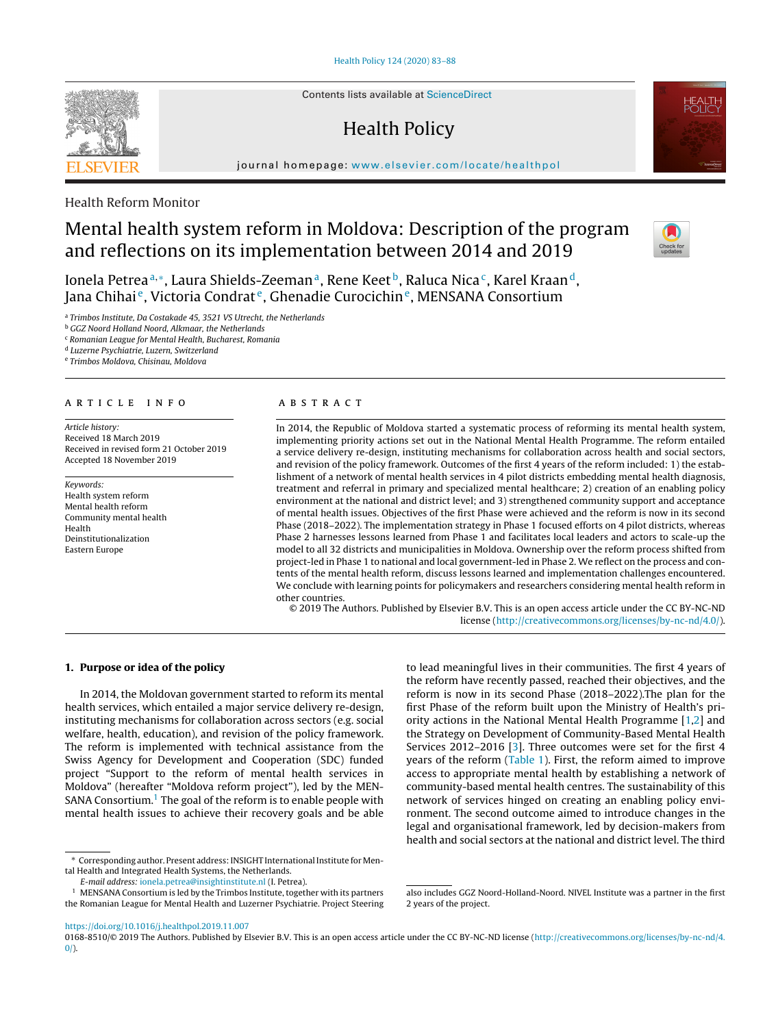Contents lists available at [ScienceDirect](http://www.sciencedirect.com/science/journal/01688510)

# Health Policy

iournal homepage: [www.elsevier.com/locate/healthpol](http://www.elsevier.com/locate/healthpol)

## Health Reform Monitor

# Mental health system reform in Moldova: Description of the program and reflections on its implementation between 2014 and 2019

Ionela Petrea<sup>a,∗</sup>, Laura Shields-Zeeman<sup>a</sup>, Rene Keet<sup>b</sup>, Raluca Nica<sup>c</sup>, Karel Kraan<sup>d</sup>, Jana Chihai<sup>e</sup>, Victoria Condrat<sup>e</sup>, Ghenadie Curocichin<sup>e</sup>, MENSANA Consortium

<sup>a</sup> Trimbos Institute, Da Costakade 45, 3521 VS Utrecht, the Netherlands

<sup>b</sup> GGZ Noord Holland Noord, Alkmaar, the Netherlands

<sup>c</sup> Romanian League for Mental Health, Bucharest, Romania

<sup>d</sup> Luzerne Psychiatrie, Luzern, Switzerland

<sup>e</sup> Trimbos Moldova, Chisinau, Moldova

### a r t i c l e i n f o

Article history: Received 18 March 2019 Received in revised form 21 October 2019 Accepted 18 November 2019

Keywords: Health system reform Mental health reform Community mental health Health Deinstitutionalization Eastern Europe

### A B S T R A C T

In 2014, the Republic of Moldova started a systematic process of reforming its mental health system, implementing priority actions set out in the National Mental Health Programme. The reform entailed a service delivery re-design, instituting mechanisms for collaboration across health and social sectors, and revision of the policy framework. Outcomes of the first 4 years of the reform included: 1) the establishment of a network of mental health services in 4 pilot districts embedding mental health diagnosis, treatment and referral in primary and specialized mental healthcare; 2) creation of an enabling policy environment at the national and district level; and 3) strengthened community support and acceptance of mental health issues. Objectives of the first Phase were achieved and the reform is now in its second Phase (2018–2022). The implementation strategy in Phase 1 focused efforts on 4 pilot districts, whereas Phase 2 harnesses lessons learned from Phase 1 and facilitates local leaders and actors to scale-up the model to all 32 districts and municipalities in Moldova. Ownership over the reform process shifted from project-led in Phase 1 to national and local government-led in Phase 2. We reflect on the process and contents of the mental health reform, discuss lessons learned and implementation challenges encountered. We conclude with learning points for policymakers and researchers considering mental health reform in other countries.

© 2019 The Authors. Published by Elsevier B.V. This is an open access article under the CC BY-NC-ND license [\(http://creativecommons.org/licenses/by-nc-nd/4.0/](http://creativecommons.org/licenses/by-nc-nd/4.0/)).

#### **1. Purpose or idea of the policy**

In 2014, the Moldovan government started to reform its mental health services, which entailed a major service delivery re-design, instituting mechanisms for collaboration across sectors (e.g. social welfare, health, education), and revision of the policy framework. The reform is implemented with technical assistance from the Swiss Agency for Development and Cooperation (SDC) funded project "Support to the reform of mental health services in Moldova" (hereafter "Moldova reform project"), led by the MEN-SANA Consortium.<sup>1</sup> The goal of the reform is to enable people with mental health issues to achieve their recovery goals and be able

∗ Corresponding author. Present address:INSIGHT International Institute for Mental Health and Integrated Health Systems, the Netherlands.

E-mail address: [ionela.petrea@insightinstitute.nl](mailto:ionela.petrea@insightinstitute.nl) (I. Petrea).

<https://doi.org/10.1016/j.healthpol.2019.11.007>

0168-8510/© 2019 The Authors. Published by Elsevier B.V. This is an open access article under the CC BY-NC-ND license [\(http://creativecommons.org/licenses/by-nc-nd/4.](http://creativecommons.org/licenses/by-nc-nd/4.0/)  $0/$ ).

2 years of the project.



also includes GGZ Noord-Holland-Noord. NIVEL Institute was a partner in the first







 $1$  MENSANA Consortium is led by the Trimbos Institute, together with its partners the Romanian League for Mental Health and Luzerner Psychiatrie. Project Steering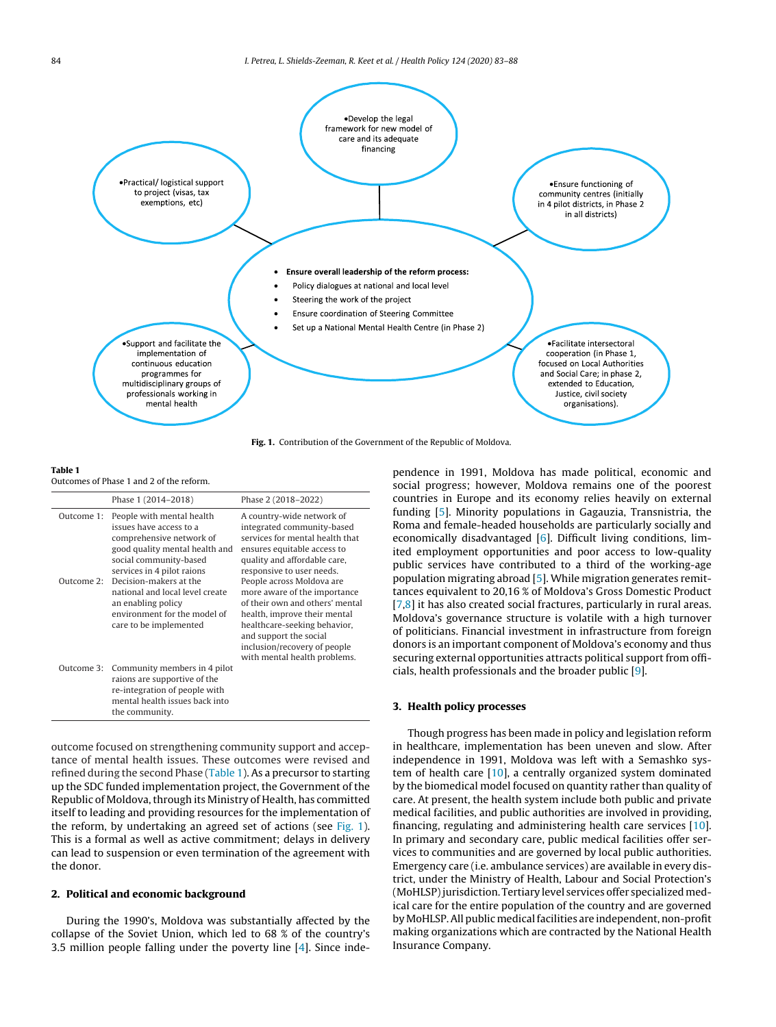<span id="page-1-0"></span>

**Fig. 1.** Contribution of the Government of the Republic of Moldova.

**Table 1** Outcomes of Phase 1 and 2 of the reform.

|                          | Phase 1 (2014-2018)                                                                                                                                                                                  | Phase 2 (2018-2022)                                                                                                                                                                                                       |
|--------------------------|------------------------------------------------------------------------------------------------------------------------------------------------------------------------------------------------------|---------------------------------------------------------------------------------------------------------------------------------------------------------------------------------------------------------------------------|
| Outcome 1:<br>Outcome 2: | People with mental health<br>issues have access to a<br>comprehensive network of<br>good quality mental health and<br>social community-based<br>services in 4 pilot raions<br>Decision-makers at the | A country-wide network of<br>integrated community-based<br>services for mental health that<br>ensures equitable access to<br>quality and affordable care,<br>responsive to user needs.<br>People across Moldova are       |
|                          | national and local level create<br>an enabling policy<br>environment for the model of<br>care to be implemented                                                                                      | more aware of the importance<br>of their own and others' mental<br>health, improve their mental<br>healthcare-seeking behavior,<br>and support the social<br>inclusion/recovery of people<br>with mental health problems. |
| Outcome 3:               | Community members in 4 pilot<br>raions are supportive of the<br>re-integration of people with<br>mental health issues back into<br>the community.                                                    |                                                                                                                                                                                                                           |
|                          |                                                                                                                                                                                                      |                                                                                                                                                                                                                           |

outcome focused on strengthening community support and acceptance of mental health issues. These outcomes were revised and refined during the second Phase (Table 1). As a precursor to starting up the SDC funded implementation project, the Government of the Republic of Moldova, through its Ministry of Health, has committed itself to leading and providing resources for the implementation of the reform, by undertaking an agreed set of actions (see Fig. 1). This is a formal as well as active commitment; delays in delivery can lead to suspension or even termination of the agreement with the donor.

#### **2. Political and economic background**

During the 1990's, Moldova was substantially affected by the collapse of the Soviet Union, which led to 68 % of the country's 3.5 million people falling under the poverty line [\[4\].](#page-5-0) Since inde-

pendence in 1991, Moldova has made political, economic and social progress; however, Moldova remains one of the poorest countries in Europe and its economy relies heavily on external funding [[5\].](#page-5-0) Minority populations in Gagauzia, Transnistria, the Roma and female-headed households are particularly socially and economically disadvantaged [[6\].](#page-5-0) Difficult living conditions, limited employment opportunities and poor access to low-quality public services have contributed to a third of the working-age population migrating abroad [[5\].](#page-5-0) While migration generates remittances equivalent to 20,16 % of Moldova's Gross Domestic Product [\[7,8\]](#page-5-0) it has also created social fractures, particularly in rural areas. Moldova's governance structure is volatile with a high turnover of politicians. Financial investment in infrastructure from foreign donors is an important component of Moldova's economy and thus securing external opportunities attracts political support from officials, health professionals and the broader public [[9\].](#page-5-0)

#### **3. Health policy processes**

Though progress has been made in policy and legislation reform in healthcare, implementation has been uneven and slow. After independence in 1991, Moldova was left with a Semashko system of health care [\[10\],](#page-5-0) a centrally organized system dominated by the biomedical model focused on quantity rather than quality of care. At present, the health system include both public and private medical facilities, and public authorities are involved in providing, financing, regulating and administering health care services [\[10\].](#page-5-0) In primary and secondary care, public medical facilities offer services to communities and are governed by local public authorities. Emergency care (i.e. ambulance services) are available in every district, under the Ministry of Health, Labour and Social Protection's (MoHLSP) jurisdiction. Tertiary level services offer specialized medical care for the entire population of the country and are governed by MoHLSP. All public medical facilities are independent, non-profit making organizations which are contracted by the National Health Insurance Company.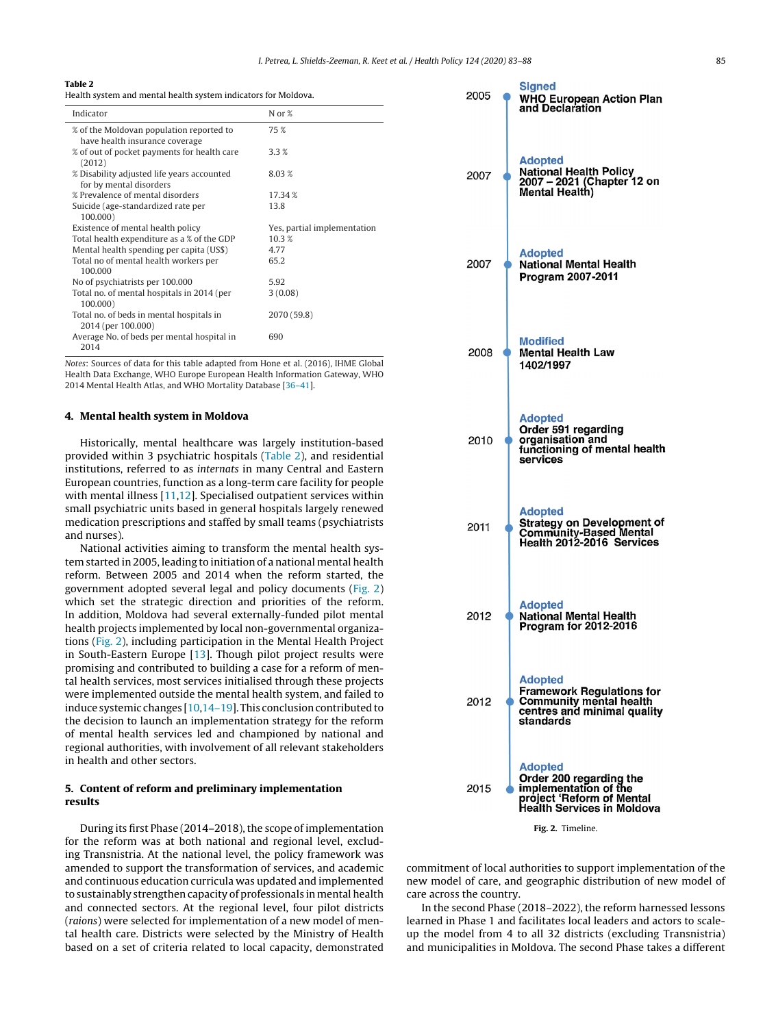I. Petrea, L. Shields-Zeeman, R. Keet et al. / Health Policy 124 (2020) 83–88 85

#### **Table 2**

Health system and mental health system indicators for Moldova.

| Indicator                                                                  | N or %                      |
|----------------------------------------------------------------------------|-----------------------------|
| % of the Moldovan population reported to<br>have health insurance coverage | 75%                         |
| % of out of pocket payments for health care<br>(2012)                      | $3.3\%$                     |
| % Disability adjusted life years accounted<br>for by mental disorders      | 8.03%                       |
| % Prevalence of mental disorders                                           | 17.34 %                     |
| Suicide (age-standardized rate per<br>100.000)                             | 13.8                        |
| Existence of mental health policy                                          | Yes, partial implementation |
| Total health expenditure as a % of the GDP                                 | 10.3%                       |
| Mental health spending per capita (US\$)                                   | 4.77                        |
| Total no of mental health workers per<br>100.000                           | 65.2                        |
| No of psychiatrists per 100,000                                            | 5.92                        |
| Total no. of mental hospitals in 2014 (per<br>100,000                      | 3(0.08)                     |
| Total no, of beds in mental hospitals in<br>2014 (per 100,000)             | 2070 (59.8)                 |
| Average No. of beds per mental hospital in<br>2014                         | 690                         |
|                                                                            |                             |

Notes: Sources of data for this table adapted from Hone et al. (2016), IHME Global Health Data Exchange, WHO Europe European Health Information Gateway, WHO 2014 Mental Health Atlas, and WHO Mortality Database [[36–41\].](#page-5-0)

#### **4. Mental health system in Moldova**

Historically, mental healthcare was largely institution-based provided within 3 psychiatric hospitals (Table 2), and residential institutions, referred to as internats in many Central and Eastern European countries, function as a long-term care facility for people with mental illness [\[11,12\].](#page-5-0) Specialised outpatient services within small psychiatric units based in general hospitals largely renewed medication prescriptions and staffed by small teams (psychiatrists and nurses).

National activities aiming to transform the mental health system started in 2005, leading to initiation of a national mental health reform. Between 2005 and 2014 when the reform started, the government adopted several legal and policy documents (Fig. 2) which set the strategic direction and priorities of the reform. In addition, Moldova had several externally-funded pilot mental health projects implemented by local non-governmental organizations (Fig. 2), including participation in the Mental Health Project in South-Eastern Europe [\[13\].](#page-5-0) Though pilot project results were promising and contributed to building a case for a reform of mental health services, most services initialised through these projects were implemented outside the mental health system, and failed to induce systemic changes  $[10,14-19]$ . This conclusion contributed to the decision to launch an implementation strategy for the reform of mental health services led and championed by national and regional authorities, with involvement of all relevant stakeholders in health and other sectors.

### **5. Content of reform and preliminary implementation results**

During its first Phase (2014–2018), the scope of implementation for the reform was at both national and regional level, excluding Transnistria. At the national level, the policy framework was amended to support the transformation of services, and academic and continuous education curricula was updated and implemented to sustainably strengthen capacity of professionals in mental health and connected sectors. At the regional level, four pilot districts (raions) were selected for implementation of a new model of mental health care. Districts were selected by the Ministry of Health based on a set of criteria related to local capacity, demonstrated

# National Health Policy<br>2007 - 2021 (Chapter 12 on 2007 **Mental Health) Adopted** 2007 **National Mental Health** Program 2007-2011 **Modified** 2008 **Mental Health Law** 1402/1997 **Adopted** Order 591 regarding 2010 organisation and functioning of mental health services **Adopted** Strategy on Development of<br>Community-Based Mental<br>Health 2012-2016 Services 2011 **Adopted** 2012 **National Mental Health Program for 2012-2016**

**Signed** 

**Adopted** 

and Declaration

**WHO European Action Plan** 

2005

**Adopted Framework Regulations for** 2012 **Community mental health** centres and minimal quality standards **Adopted** Order 200 regarding the 2015 implementation of the project 'Reform of Mental<br>Health Services in Moldova

**Fig. 2.** Timeline.

commitment of local authorities to support implementation of the new model of care, and geographic distribution of new model of care across the country.

In the second Phase (2018–2022), the reform harnessed lessons learned in Phase 1 and facilitates local leaders and actors to scaleup the model from 4 to all 32 districts (excluding Transnistria) and municipalities in Moldova. The second Phase takes a different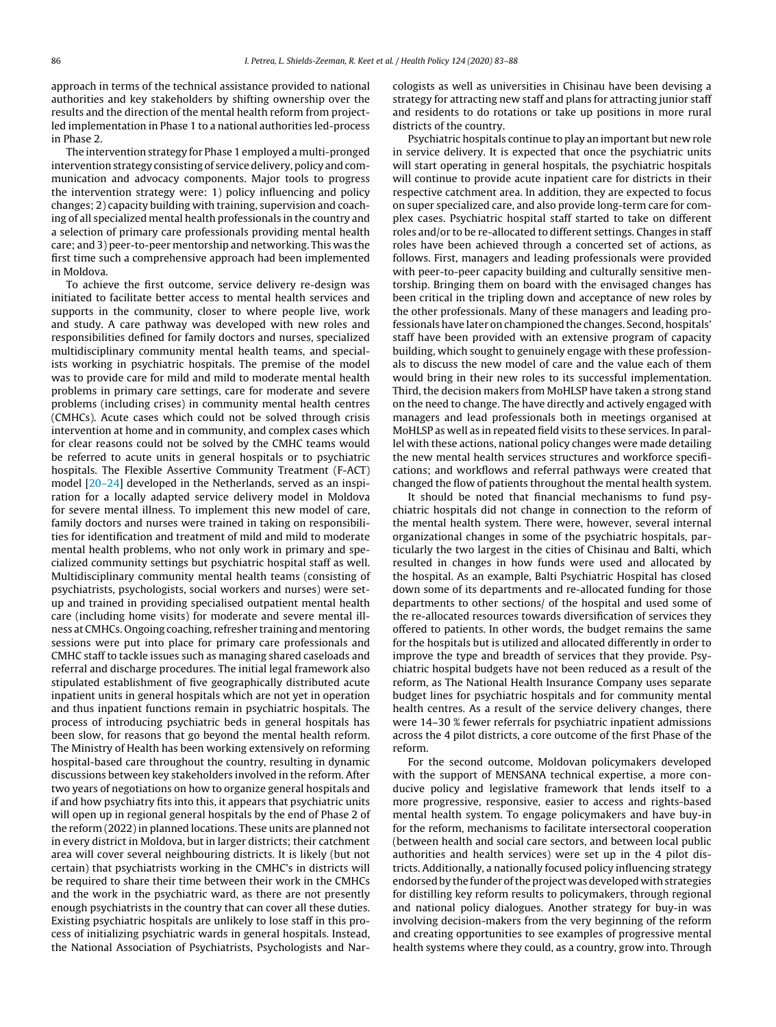approach in terms of the technical assistance provided to national authorities and key stakeholders by shifting ownership over the results and the direction of the mental health reform from projectled implementation in Phase 1 to a national authorities led-process in Phase 2.

The intervention strategy for Phase 1 employed a multi-pronged intervention strategy consisting of service delivery, policy and communication and advocacy components. Major tools to progress the intervention strategy were: 1) policy influencing and policy changes; 2) capacity building with training, supervision and coaching of all specialized mental health professionals in the country and a selection of primary care professionals providing mental health care; and 3) peer-to-peer mentorship and networking. This was the first time such a comprehensive approach had been implemented in Moldova.

To achieve the first outcome, service delivery re-design was initiated to facilitate better access to mental health services and supports in the community, closer to where people live, work and study. A care pathway was developed with new roles and responsibilities defined for family doctors and nurses, specialized multidisciplinary community mental health teams, and specialists working in psychiatric hospitals. The premise of the model was to provide care for mild and mild to moderate mental health problems in primary care settings, care for moderate and severe problems (including crises) in community mental health centres (CMHCs). Acute cases which could not be solved through crisis intervention at home and in community, and complex cases which for clear reasons could not be solved by the CMHC teams would be referred to acute units in general hospitals or to psychiatric hospitals. The Flexible Assertive Community Treatment (F-ACT) model [[20–24\]](#page-5-0) developed in the Netherlands, served as an inspiration for a locally adapted service delivery model in Moldova for severe mental illness. To implement this new model of care, family doctors and nurses were trained in taking on responsibilities for identification and treatment of mild and mild to moderate mental health problems, who not only work in primary and specialized community settings but psychiatric hospital staff as well. Multidisciplinary community mental health teams (consisting of psychiatrists, psychologists, social workers and nurses) were setup and trained in providing specialised outpatient mental health care (including home visits) for moderate and severe mental illness at CMHCs. Ongoing coaching, refresher training and mentoring sessions were put into place for primary care professionals and CMHC staff to tackle issues such as managing shared caseloads and referral and discharge procedures. The initial legal framework also stipulated establishment of five geographically distributed acute inpatient units in general hospitals which are not yet in operation and thus inpatient functions remain in psychiatric hospitals. The process of introducing psychiatric beds in general hospitals has been slow, for reasons that go beyond the mental health reform. The Ministry of Health has been working extensively on reforming hospital-based care throughout the country, resulting in dynamic discussions between key stakeholders involved in the reform. After two years of negotiations on how to organize general hospitals and if and how psychiatry fits into this, it appears that psychiatric units will open up in regional general hospitals by the end of Phase 2 of the reform (2022) in planned locations. These units are planned not in every district in Moldova, but in larger districts; their catchment area will cover several neighbouring districts. It is likely (but not certain) that psychiatrists working in the CMHC's in districts will be required to share their time between their work in the CMHCs and the work in the psychiatric ward, as there are not presently enough psychiatrists in the country that can cover all these duties. Existing psychiatric hospitals are unlikely to lose staff in this process of initializing psychiatric wards in general hospitals. Instead, the National Association of Psychiatrists, Psychologists and Narcologists as well as universities in Chisinau have been devising a strategy for attracting new staff and plans for attracting junior staff and residents to do rotations or take up positions in more rural districts of the country.

Psychiatric hospitals continue to play an important but new role in service delivery. It is expected that once the psychiatric units will start operating in general hospitals, the psychiatric hospitals will continue to provide acute inpatient care for districts in their respective catchment area. In addition, they are expected to focus on super specialized care, and also provide long-term care for complex cases. Psychiatric hospital staff started to take on different roles and/or to be re-allocated to different settings. Changes in staff roles have been achieved through a concerted set of actions, as follows. First, managers and leading professionals were provided with peer-to-peer capacity building and culturally sensitive mentorship. Bringing them on board with the envisaged changes has been critical in the tripling down and acceptance of new roles by the other professionals. Many of these managers and leading professionals have later on championed the changes. Second, hospitals' staff have been provided with an extensive program of capacity building, which sought to genuinely engage with these professionals to discuss the new model of care and the value each of them would bring in their new roles to its successful implementation. Third, the decision makers from MoHLSP have taken a strong stand on the need to change. The have directly and actively engaged with managers and lead professionals both in meetings organised at MoHLSP as well as in repeated field visits to these services. In parallel with these actions, national policy changes were made detailing the new mental health services structures and workforce specifications; and workflows and referral pathways were created that changed the flow of patients throughout the mental health system.

It should be noted that financial mechanisms to fund psychiatric hospitals did not change in connection to the reform of the mental health system. There were, however, several internal organizational changes in some of the psychiatric hospitals, particularly the two largest in the cities of Chisinau and Balti, which resulted in changes in how funds were used and allocated by the hospital. As an example, Balti Psychiatric Hospital has closed down some of its departments and re-allocated funding for those departments to other sections/ of the hospital and used some of the re-allocated resources towards diversification of services they offered to patients. In other words, the budget remains the same for the hospitals but is utilized and allocated differently in order to improve the type and breadth of services that they provide. Psychiatric hospital budgets have not been reduced as a result of the reform, as The National Health Insurance Company uses separate budget lines for psychiatric hospitals and for community mental health centres. As a result of the service delivery changes, there were 14–30 % fewer referrals for psychiatric inpatient admissions across the 4 pilot districts, a core outcome of the first Phase of the reform.

For the second outcome, Moldovan policymakers developed with the support of MENSANA technical expertise, a more conducive policy and legislative framework that lends itself to a more progressive, responsive, easier to access and rights-based mental health system. To engage policymakers and have buy-in for the reform, mechanisms to facilitate intersectoral cooperation (between health and social care sectors, and between local public authorities and health services) were set up in the 4 pilot districts. Additionally, a nationally focused policy influencing strategy endorsed by the funder ofthe project was developed with strategies for distilling key reform results to policymakers, through regional and national policy dialogues. Another strategy for buy-in was involving decision-makers from the very beginning of the reform and creating opportunities to see examples of progressive mental health systems where they could, as a country, grow into. Through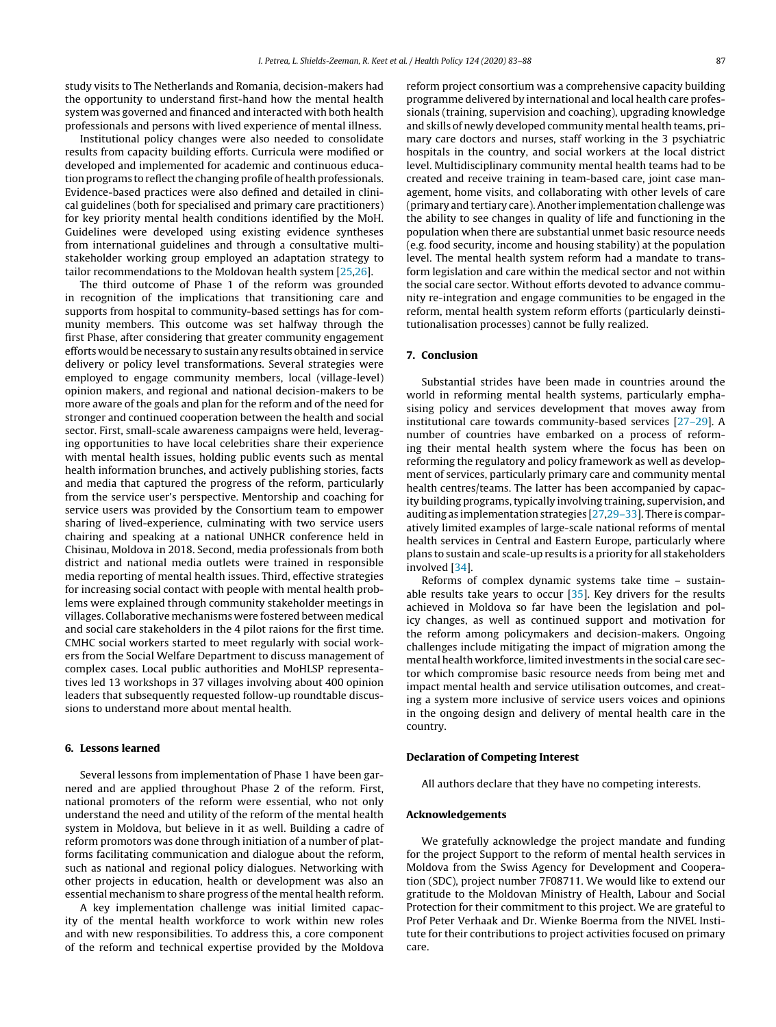study visits to The Netherlands and Romania, decision-makers had the opportunity to understand first-hand how the mental health system was governed and financed and interacted with both health professionals and persons with lived experience of mental illness.

Institutional policy changes were also needed to consolidate results from capacity building efforts. Curricula were modified or developed and implemented for academic and continuous education programs to reflect the changing profile of health professionals. Evidence-based practices were also defined and detailed in clinical guidelines (both for specialised and primary care practitioners) for key priority mental health conditions identified by the MoH. Guidelines were developed using existing evidence syntheses from international guidelines and through a consultative multistakeholder working group employed an adaptation strategy to tailor recommendations to the Moldovan health system [\[25,26\].](#page-5-0)

The third outcome of Phase 1 of the reform was grounded in recognition of the implications that transitioning care and supports from hospital to community-based settings has for community members. This outcome was set halfway through the first Phase, after considering that greater community engagement efforts would be necessary to sustain any results obtained in service delivery or policy level transformations. Several strategies were employed to engage community members, local (village-level) opinion makers, and regional and national decision-makers to be more aware of the goals and plan for the reform and of the need for stronger and continued cooperation between the health and social sector. First, small-scale awareness campaigns were held, leveraging opportunities to have local celebrities share their experience with mental health issues, holding public events such as mental health information brunches, and actively publishing stories, facts and media that captured the progress of the reform, particularly from the service user's perspective. Mentorship and coaching for service users was provided by the Consortium team to empower sharing of lived-experience, culminating with two service users chairing and speaking at a national UNHCR conference held in Chisinau, Moldova in 2018. Second, media professionals from both district and national media outlets were trained in responsible media reporting of mental health issues. Third, effective strategies for increasing social contact with people with mental health problems were explained through community stakeholder meetings in villages. Collaborative mechanisms were fostered between medical and social care stakeholders in the 4 pilot raions for the first time. CMHC social workers started to meet regularly with social workers from the Social Welfare Department to discuss management of complex cases. Local public authorities and MoHLSP representatives led 13 workshops in 37 villages involving about 400 opinion leaders that subsequently requested follow-up roundtable discussions to understand more about mental health.

#### **6. Lessons learned**

Several lessons from implementation of Phase 1 have been garnered and are applied throughout Phase 2 of the reform. First, national promoters of the reform were essential, who not only understand the need and utility of the reform of the mental health system in Moldova, but believe in it as well. Building a cadre of reform promotors was done through initiation of a number of platforms facilitating communication and dialogue about the reform, such as national and regional policy dialogues. Networking with other projects in education, health or development was also an essential mechanism to share progress of the mental health reform.

A key implementation challenge was initial limited capacity of the mental health workforce to work within new roles and with new responsibilities. To address this, a core component of the reform and technical expertise provided by the Moldova reform project consortium was a comprehensive capacity building programme delivered by international and local health care professionals (training, supervision and coaching), upgrading knowledge and skills of newly developed community mental health teams, primary care doctors and nurses, staff working in the 3 psychiatric hospitals in the country, and social workers at the local district level. Multidisciplinary community mental health teams had to be created and receive training in team-based care, joint case management, home visits, and collaborating with other levels of care (primary and tertiary care).Another implementation challenge was the ability to see changes in quality of life and functioning in the population when there are substantial unmet basic resource needs (e.g. food security, income and housing stability) at the population level. The mental health system reform had a mandate to transform legislation and care within the medical sector and not within the social care sector. Without efforts devoted to advance community re-integration and engage communities to be engaged in the reform, mental health system reform efforts (particularly deinstitutionalisation processes) cannot be fully realized.

#### **7. Conclusion**

Substantial strides have been made in countries around the world in reforming mental health systems, particularly emphasising policy and services development that moves away from institutional care towards community-based services [\[27–29\].](#page-5-0) A number of countries have embarked on a process of reforming their mental health system where the focus has been on reforming the regulatory and policy framework as well as development of services, particularly primary care and community mental health centres/teams. The latter has been accompanied by capacity building programs, typically involving training, supervision, and auditing as implementation strategies [[27,29–33\].](#page-5-0) There is comparatively limited examples of large-scale national reforms of mental health services in Central and Eastern Europe, particularly where plans to sustain and scale-up results is a priority for all stakeholders involved [\[34\].](#page-5-0)

Reforms of complex dynamic systems take time – sustainable results take years to occur [\[35\].](#page-5-0) Key drivers for the results achieved in Moldova so far have been the legislation and policy changes, as well as continued support and motivation for the reform among policymakers and decision-makers. Ongoing challenges include mitigating the impact of migration among the mental health workforce, limited investments in the social care sector which compromise basic resource needs from being met and impact mental health and service utilisation outcomes, and creating a system more inclusive of service users voices and opinions in the ongoing design and delivery of mental health care in the country.

#### **Declaration of Competing Interest**

All authors declare that they have no competing interests.

#### **Acknowledgements**

We gratefully acknowledge the project mandate and funding for the project Support to the reform of mental health services in Moldova from the Swiss Agency for Development and Cooperation (SDC), project number 7F08711. We would like to extend our gratitude to the Moldovan Ministry of Health, Labour and Social Protection for their commitment to this project. We are grateful to Prof Peter Verhaak and Dr. Wienke Boerma from the NIVEL Institute for their contributions to project activities focused on primary care.